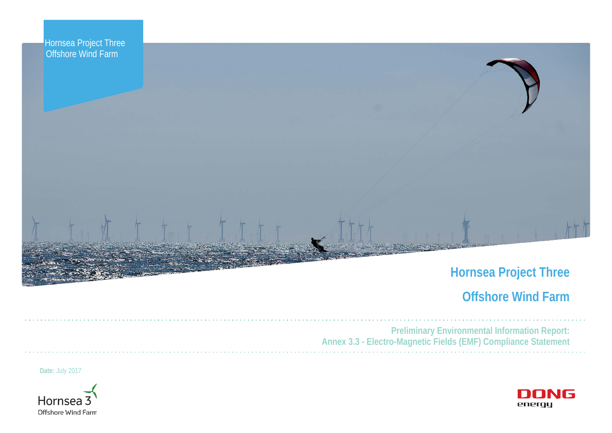

# **Hornsea Project Three**

# **Offshore Wind Farm**



**Preliminary Environmental Information Report: Annex 3.3 - Electro-Magnetic Fields (EMF) Compliance Statement**

**Date:** July 2017



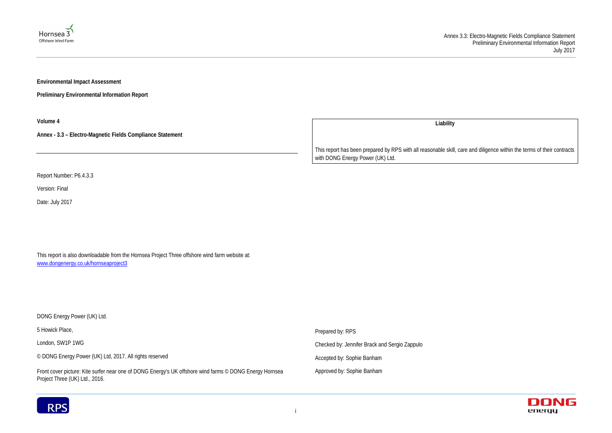



**Environmental Impact Assessment** 

**Preliminary Environmental Information Report**

**Volume 4**

**Annex - 3.3 – Electro-Magnetic Fields Compliance Statement**

Report Number: P6.4.3.3

Version: Final

Date: July 2017

This report is also downloadable from the Hornsea Project Three offshore wind farm website at: [www.dongenergy.co.uk/hornseaproject3](http://www.dongenergy.co.uk/hornseaproject3)

**Liability**

DONG Energy Power (UK) Ltd. 5 Howick Place, London, SW1P 1WG © DONG Energy Power (UK) Ltd, 2017. All rights reserved Front cover picture: Kite surfer near one of DONG Energy's UK offshore wind farms © DONG Energy Hornsea Project Three (UK) Ltd., 2016. Prepared by: RPS Checked by: Jennifer Brack and Sergio Zappulo Accepted by: Sophie Banham Approved by: Sophie Banham



This report has been prepared by RPS with all reasonable skill, care and diligence within the terms of their contracts with DONG Energy Power (UK) Ltd.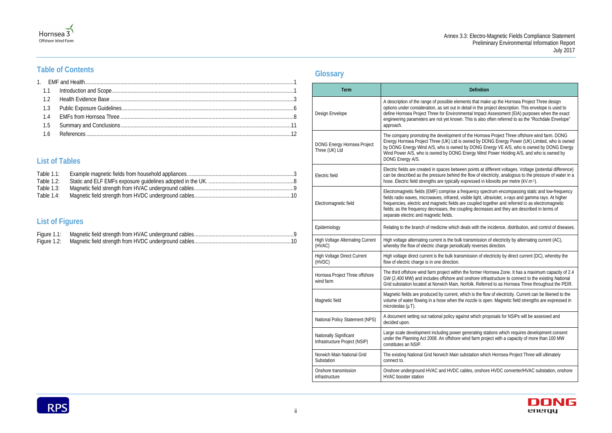#### **Definition**

ments that make up the Hornsea Project Three design detail in the project description. This envelope is used to imental Impact Assessment (EIA) purposes when the exact vn. This is also often referred to as the "Rochdale Envelope"

nt of the Hornsea Project Three offshore wind farm. DONG is owned by DONG Energy Power (UK) Limited, who is owned ed by DONG Energy VE A/S, who is owned by DONG Energy G Energy Wind Power Holding A/S, and who is owned by

een points at different voltages. Voltage (potential difference) the flow of electricity, analogous to the pressure of water in a expressed in kilovolts per metre (kV.m-1).

frequency spectrum encompassing static and low-frequency visible light, ultraviolet, x-rays and gamma rays. At higher are coupled together and referred to as electromagnetic oupling decreases and they are described in terms of

deals with the incidence, distribution, and control of diseases.

Ik transmission of electricity by alternating current (AC), dically reverses direction.

nsmission of electricity by direct current (DC), whereby the

in the former Hornsea Zone. It has a maximum capacity of 2.4 nd onshore infrastructure to connect to the existing National , Norfolk. Referred to as Hornsea Three throughout the PEIR.

which is the flow of electricity. Current can be likened to the he nozzle is open. Magnetic field strengths are expressed in

gainst which proposals for NSIPs will be assessed and

I generating stations which requires development consent wind farm project with a capacity of more than 100 MW

substation which Hornsea Project Three will ultimately

cables, onshore HVDC converter/HVAC substation, onshore



## **Table of Contents**

Hornsea 3 Offshore Wind Farm

## **List of Tables**

| Table $1.1$ : |  |
|---------------|--|
| Table $1.2$ : |  |
| Table 1.3:    |  |
| Table 1.4:    |  |

## **List of Figures**

## **Glossary**

| <b>Term</b>                                             |                                                                                                                                                                                                                             |
|---------------------------------------------------------|-----------------------------------------------------------------------------------------------------------------------------------------------------------------------------------------------------------------------------|
| Design Envelope                                         | A description of the range of possible eler<br>options under consideration, as set out in<br>define Hornsea Project Three for Environ<br>engineering parameters are not yet know<br>approach.                               |
| DONG Energy Hornsea Project<br>Three (UK) Ltd           | The company promoting the developmen<br>Energy Hornsea Project Three (UK) Ltd is<br>by DONG Energy Wind A/S, who is owne<br>Wind Power A/S, who is owned by DONG<br>DONG Energy A/S.                                        |
| Electric field                                          | Electric fields are created in spaces betw<br>can be described as the pressure behind<br>hose. Electric field strengths are typically                                                                                       |
| Electromagnetic field                                   | Electromagnetic fields (EMF) comprise a<br>fields radio waves, microwaves, infrared,<br>frequencies, electric and magnetic fields a<br>fields; as the frequency decreases, the co<br>separate electric and magnetic fields. |
| Epidemiology                                            | Relating to the branch of medicine which                                                                                                                                                                                    |
| <b>High Voltage Alternating Current</b><br>(HVAC)       | High voltage alternating current is the bul<br>whereby the flow of electric charge period                                                                                                                                   |
| <b>High Voltage Direct Current</b><br>(HVDC)            | High voltage direct current is the bulk trar<br>flow of electric charge is in one direction.                                                                                                                                |
| Hornsea Project Three offshore<br>wind farm             | The third offshore wind farm project withir<br>GW (2,400 MW) and includes offshore ar<br>Grid substation located at Norwich Main,                                                                                           |
| Magnetic field                                          | Magnetic fields are produced by current,<br>volume of water flowing in a hose when th<br>microteslas (µT).                                                                                                                  |
| National Policy Statement (NPS)                         | A document setting out national policy ag<br>decided upon.                                                                                                                                                                  |
| Nationally Significant<br>Infrastructure Project (NSIP) | Large scale development including power<br>under the Planning Act 2008. An offshore<br>constitutes an NSIP.                                                                                                                 |
| Norwich Main National Grid<br>Substation                | The existing National Grid Norwich Main<br>connect to.                                                                                                                                                                      |
| Onshore transmission<br>infrastructure                  | Onshore underground HVAC and HVDC<br><b>HVAC</b> booster station                                                                                                                                                            |
|                                                         |                                                                                                                                                                                                                             |

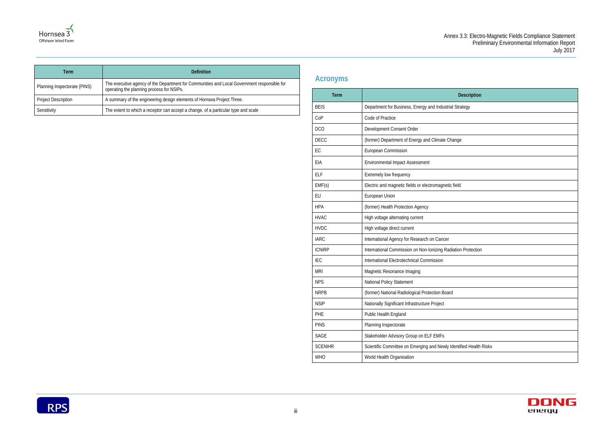| escription      |
|-----------------|
| tegy            |
|                 |
|                 |
|                 |
|                 |
|                 |
|                 |
|                 |
|                 |
|                 |
|                 |
|                 |
|                 |
| Protection      |
|                 |
|                 |
|                 |
|                 |
|                 |
|                 |
|                 |
|                 |
| ed Health Risks |
|                 |





| Term                         | <b>Definition</b>                                                                                                                        |  |  |
|------------------------------|------------------------------------------------------------------------------------------------------------------------------------------|--|--|
| Planning Inspectorate (PINS) | The executive agency of the Department for Communities and Local Government responsible for<br>operating the planning process for NSIPs. |  |  |
| <b>Project Description</b>   | A summary of the engineering design elements of Hornsea Project Three.                                                                   |  |  |
| Sensitivity                  | The extent to which a receptor can accept a change, of a particular type and scale                                                       |  |  |

## **Acronyms**

| Term           | <b>Description</b>                                                 |
|----------------|--------------------------------------------------------------------|
| <b>BEIS</b>    | Department for Business, Energy and Industrial Strategy            |
| CoP            | Code of Practice                                                   |
| <b>DCO</b>     | Development Consent Order                                          |
| <b>DECC</b>    | (former) Department of Energy and Climate Change                   |
| EC             | European Commission                                                |
| EIA            | <b>Environmental Impact Assessment</b>                             |
| <b>ELF</b>     | Extremely low frequency                                            |
| EMF(s)         | Electric and magnetic fields or electromagnetic field              |
| EU             | European Union                                                     |
| <b>HPA</b>     | (former) Health Protection Agency                                  |
| <b>HVAC</b>    | High voltage alternating current                                   |
| <b>HVDC</b>    | High voltage direct current                                        |
| <b>IARC</b>    | International Agency for Research on Cancer                        |
| <b>ICNIRP</b>  | International Commission on Non-Ionizing Radiation Protection      |
| IEC            | International Electrotechnical Commission                          |
| <b>MRI</b>     | Magnetic Resonance Imaging                                         |
| <b>NPS</b>     | National Policy Statement                                          |
| <b>NRPB</b>    | (former) National Radiological Protection Board                    |
| <b>NSIP</b>    | Nationally Significant Infrastructure Project                      |
| PHE            | <b>Public Health England</b>                                       |
| <b>PINS</b>    | Planning Inspectorate                                              |
| SAGE           | Stakeholder Advisory Group on ELF EMFs                             |
| <b>SCENIHR</b> | Scientific Committee on Emerging and Newly Identified Health Risks |
| <b>WHO</b>     | World Health Organisation                                          |

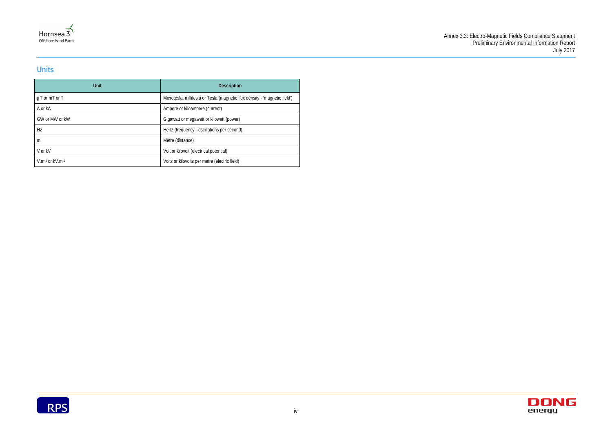



## **Units**

| Unit                      | <b>Description</b>                                                         |
|---------------------------|----------------------------------------------------------------------------|
| $\mu$ T or mT or T        | Microtesla, millitesla or Tesla (magnetic flux density - 'magnetic field') |
| A or kA                   | Ampere or kiloampere (current)                                             |
| GW or MW or kW            | Gigawatt or megawatt or kilowatt (power)                                   |
| Hz                        | Hertz (frequency - oscillations per second)                                |
| m                         | Metre (distance)                                                           |
| V or kV                   | Volt or kilovolt (electrical potential)                                    |
| $V.m^{-1}$ or $kV.m^{-1}$ | Volts or kilovolts per metre (electric field)                              |

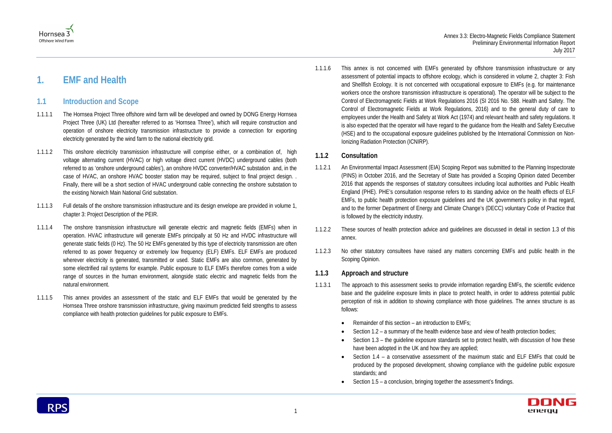

# <span id="page-5-0"></span>**1. EMF and Health**

## <span id="page-5-1"></span>**1.1 Introduction and Scope**

- 1.1.1.1 The Hornsea Project Three offshore wind farm will be developed and owned by DONG Energy Hornsea Project Three (UK) Ltd (hereafter referred to as 'Hornsea Three'), which will require construction and operation of onshore electricity transmission infrastructure to provide a connection for exporting electricity generated by the wind farm to the national electricity grid.
- 1.1.1.2 This onshore electricity transmission infrastructure will comprise either, or a combination of, high voltage alternating current (HVAC) or high voltage direct current (HVDC) underground cables (both referred to as 'onshore underground cables'), an onshore HVDC converter/HVAC substation and, in the case of HVAC, an onshore HVAC booster station may be required, subject to final project design. . Finally, there will be a short section of HVAC underground cable connecting the onshore substation to the existing Norwich Main National Grid substation.
- 1.1.1.3 Full details of the onshore transmission infrastructure and its design envelope are provided in volume 1, chapter 3: Project Description of the PEIR.
- 1.1.1.4 The onshore transmission infrastructure will generate electric and magnetic fields (EMFs) when in operation. HVAC infrastructure will generate EMFs principally at 50 Hz and HVDC infrastructure will generate static fields (0 Hz). The 50 Hz EMFs generated by this type of electricity transmission are often referred to as power frequency or extremely low frequency (ELF) EMFs. ELF EMFs are produced wherever electricity is generated, transmitted or used. Static EMFs are also common, generated by some electrified rail systems for example. Public exposure to ELF EMFs therefore comes from a wide range of sources in the human environment, alongside static electric and magnetic fields from the natural environment.
- 1.1.1.5 This annex provides an assessment of the static and ELF EMFs that would be generated by the Hornsea Three onshore transmission infrastructure, giving maximum predicted field strengths to assess compliance with health protection guidelines for public exposure to EMFs.

1.1.1.6 This annex is not concerned with EMFs generated by offshore transmission infrastructure or any assessment of potential impacts to offshore ecology, which is considered in volume 2, chapter 3: Fish and Shellfish Ecology. It is not concerned with occupational exposure to EMFs (e.g. for maintenance workers once the onshore transmission infrastructure is operational). The operator will be subject to the Control of Electromagnetic Fields at Work Regulations 2016 (SI 2016 No. 588. Health and Safety. The Control of Electromagnetic Fields at Work Regulations, 2016) and to the general duty of care to employees under the Health and Safety at Work Act (1974) and relevant health and safety regulations. It is also expected that the operator will have regard to the guidance from the Health and Safety Executive (HSE) and to the occupational exposure guidelines published by the International Commission on Non-Ionizing Radiation Protection (ICNIRP).

#### **1.1.2 Consultation**

- 1.1.2.1 An Environmental Impact Assessment (EIA) Scoping Report was submitted to the Planning Inspectorate (PINS) in October 2016, and the Secretary of State has provided a Scoping Opinion dated December 2016 that appends the responses of statutory consultees including local authorities and Public Health England (PHE). PHE's consultation response refers to its standing advice on the health effects of ELF EMFs, to public health protection exposure guidelines and the UK government's policy in that regard, and to the former Department of Energy and Climate Change's (DECC) voluntary Code of Practice that is followed by the electricity industry.
- 1.1.2.2 These sources of health protection advice and guidelines are discussed in detail in section [1.3](#page-10-0) of this annex.
- 1.1.2.3 No other statutory consultees have raised any matters concerning EMFs and public health in the Scoping Opinion.

#### **1.1.3 Approach and structure**

- 1.1.3.1 The approach to this assessment seeks to provide information regarding EMFs, the scientific evidence base and the guideline exposure limits in place to protect health, in order to address potential public perception of risk in addition to showing compliance with those guidelines. The annex structure is as follows:
	- Remainder of this section an introduction to EMFs;
	- Sectio[n 1.2](#page-7-0) a summary of the health evidence base and view of health protection bodies;
	- have been adopted in the UK and how they are applied;
	- standards; and
	- Sectio[n 1.5](#page-15-0) a conclusion, bringing together the assessment's findings.

• Section [1.3](#page-10-0) – the guideline exposure standards set to protect health, with discussion of how these

• Section [1.4](#page-12-0) – a conservative assessment of the maximum static and ELF EMFs that could be produced by the proposed development, showing compliance with the guideline public exposure

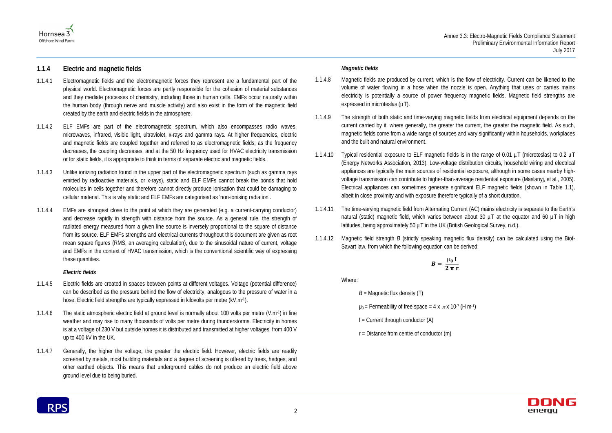



#### **1.1.4 Electric and magnetic fields**

- 1.1.4.1 Electromagnetic fields and the electromagnetic forces they represent are a fundamental part of the physical world. Electromagnetic forces are partly responsible for the cohesion of material substances and they mediate processes of chemistry, including those in human cells. EMFs occur naturally within the human body (through nerve and muscle activity) and also exist in the form of the magnetic field created by the earth and electric fields in the atmosphere.
- 1.1.4.2 ELF EMFs are part of the electromagnetic spectrum, which also encompasses radio waves, microwaves, infrared, visible light, ultraviolet, x-rays and gamma rays. At higher frequencies, electric and magnetic fields are coupled together and referred to as electromagnetic fields; as the frequency decreases, the coupling decreases, and at the 50 Hz frequency used for HVAC electricity transmission or for static fields, it is appropriate to think in terms of separate electric and magnetic fields.
- 1.1.4.3 Unlike ionizing radiation found in the upper part of the electromagnetic spectrum (such as gamma rays emitted by radioactive materials, or x-rays), static and ELF EMFs cannot break the bonds that hold molecules in cells together and therefore cannot directly produce ionisation that could be damaging to cellular material. This is why static and ELF EMFs are categorised as 'non-ionising radiation'.
- 1.1.4.4 EMFs are strongest close to the point at which they are generated (e.g. a current-carrying conductor) and decrease rapidly in strength with distance from the source. As a general rule, the strength of radiated energy measured from a given line source is inversely proportional to the square of distance from its source. ELF EMFs strengths and electrical currents throughout this document are given as root mean square figures (RMS, an averaging calculation), due to the sinusoidal nature of current, voltage and EMFs in the context of HVAC transmission, which is the conventional scientific way of expressing these quantities.

- 1.1.4.5 Electric fields are created in spaces between points at different voltages. Voltage (potential difference) can be described as the pressure behind the flow of electricity, analogous to the pressure of water in a hose. Electric field strengths are typically expressed in kilovolts per metre (kV.m-1).
- 1.1.4.6 The static atmospheric electric field at ground level is normally about 100 volts per metre (V.m-1) in fine weather and may rise to many thousands of volts per metre during thunderstorms. Electricity in homes is at a voltage of 230 V but outside homes it is distributed and transmitted at higher voltages, from 400 V up to 400 kV in the UK.
- 1.1.4.7 Generally, the higher the voltage, the greater the electric field. However, electric fields are readily screened by metals, most building materials and a degree of screening is offered by trees, hedges, and other earthed objects. This means that underground cables do not produce an electric field above ground level due to being buried.

#### *Electric fields*

#### *Magnetic fields*

- 1.1.4.8 Magnetic fields are produced by current, which is the flow of electricity. Current can be likened to the volume of water flowing in a hose when the nozzle is open. Anything that uses or carries mains electricity is potentially a source of power frequency magnetic fields. Magnetic field strengths are expressed in microteslas ( $\mu$ T).
- 1.1.4.9 The strength of both static and time-varying magnetic fields from electrical equipment depends on the current carried by it, where generally, the greater the current, the greater the magnetic field. As such, magnetic fields come from a wide range of sources and vary significantly within households, workplaces and the built and natural environment.
- 1.1.4.10 Typical residential exposure to ELF magnetic fields is in the range of 0.01 µT (microteslas) to 0.2 µT (Energy Networks Association, 2013). Low-voltage distribution circuits, household wiring and electrical appliances are typically the main sources of residential exposure, although in some cases nearby highvoltage transmission can contribute to higher-than-average residential exposure (Maslanyj, et al., 2005). Electrical appliances can sometimes generate significant ELF magnetic fields (shown in [Table 1.1\)](#page-7-1), albeit in close proximity and with exposure therefore typically of a short duration.
- 1.1.4.11 The time-varying magnetic field from Alternating Current (AC) mains electricity is separate to the Earth's natural (static) magnetic field, which varies between about 30  $\mu$ T at the equator and 60  $\mu$ T in high latitudes, being approximately 50  $\mu$ T in the UK (British Geological Survey, n.d.).
- 1.1.4.12 Magnetic field strength *B* (strictly speaking magnetic flux density) can be calculated using the Biot-Savart law, from which the following equation can be derived:

$$
B=\,\frac{\mu_0\;I}{2\;\pi\;r}
$$

Where:

 $B =$  Magnetic flux density  $(T)$ 

 $\mu_0$  = Permeability of free space = 4 x  $\pi$  x 10<sup>-7</sup> (H m<sup>-1</sup>)

- $I =$  Current through conductor  $(A)$
- $r = Distance from centre of conductor (m)$

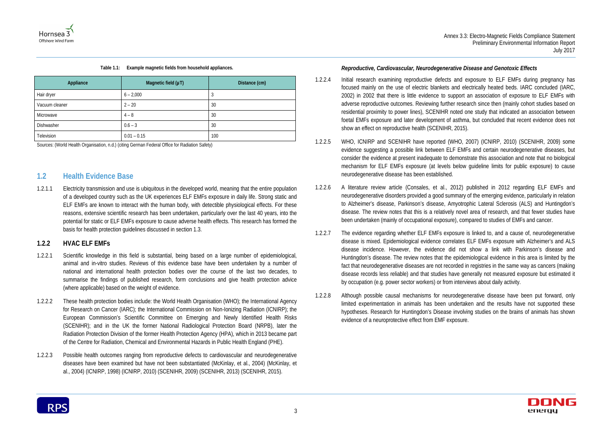

|  | Table 1.1: Example magnetic fields from household appliances. |  |
|--|---------------------------------------------------------------|--|
|--|---------------------------------------------------------------|--|

<span id="page-7-1"></span>

| Appliance      | Magnetic field $(\mu T)$ | Distance (cm) |
|----------------|--------------------------|---------------|
| Hair dryer     | $6 - 2,000$              | 3             |
| Vacuum cleaner | $2 - 20$                 | 30            |
| Microwave      | $4 - 8$                  | 30            |
| Dishwasher     | $0.6 - 3$                | 30            |
| Television     | $0.01 - 0.15$            | 100           |

Sources: (World Health Organisation, n.d.) (citing German Federal Office for Radiation Safety)

## <span id="page-7-0"></span>**1.2 Health Evidence Base**

1.2.1.1 Electricity transmission and use is ubiquitous in the developed world, meaning that the entire population of a developed country such as the UK experiences ELF EMFs exposure in daily life. Strong static and ELF EMFs are known to interact with the human body, with detectible physiological effects. For these reasons, extensive scientific research has been undertaken, particularly over the last 40 years, into the potential for static or ELF EMFs exposure to cause adverse health effects. This research has formed the basis for health protection guidelines discussed in section [1.3.](#page-10-0)

#### **1.2.2 HVAC ELF EMFs**

- 1.2.2.1 Scientific knowledge in this field is substantial, being based on a large number of epidemiological, animal and in-vitro studies. Reviews of this evidence base have been undertaken by a number of national and international health protection bodies over the course of the last two decades, to summarise the findings of published research, form conclusions and give health protection advice (where applicable) based on the weight of evidence.
- 1.2.2.2 These health protection bodies include: the World Health Organisation (WHO); the International Agency for Research on Cancer (IARC); the International Commission on Non-Ionizing Radiation (ICNIRP); the European Commission's Scientific Committee on Emerging and Newly Identified Health Risks (SCENIHR); and in the UK the former National Radiological Protection Board (NRPB), later the Radiation Protection Division of the former Health Protection Agency (HPA), which in 2013 became part of the Centre for Radiation, Chemical and Environmental Hazards in Public Health England (PHE).
- 1.2.2.3 Possible health outcomes ranging from reproductive defects to cardiovascular and neurodegenerative diseases have been examined but have not been substantiated (McKinlay, et al., 2004) (McKinlay, et al., 2004) (ICNIRP, 1998) (ICNIRP, 2010) (SCENIHR, 2009) (SCENIHR, 2013) (SCENIHR, 2015).

#### *Reproductive, Cardiovascular, Neurodegenerative Disease and Genotoxic Effects*

- 1.2.2.4 Initial research examining reproductive defects and exposure to ELF EMFs during pregnancy has focused mainly on the use of electric blankets and electrically heated beds. IARC concluded (IARC, 2002) in 2002 that there is little evidence to support an association of exposure to ELF EMFs with adverse reproductive outcomes. Reviewing further research since then (mainly cohort studies based on residential proximity to power lines), SCENIHR noted one study that indicated an association between foetal EMFs exposure and later development of asthma, but concluded that recent evidence does not show an effect on reproductive health (SCENIHR, 2015).
- 1.2.2.5 WHO, ICNIRP and SCENIHR have reported (WHO, 2007) (ICNIRP, 2010) (SCENIHR, 2009) some evidence suggesting a possible link between ELF EMFs and certain neurodegenerative diseases, but consider the evidence at present inadequate to demonstrate this association and note that no biological mechanism for ELF EMFs exposure (at levels below guideline limits for public exposure) to cause neurodegenerative disease has been established.
- 1.2.2.6 A literature review article (Consales, et al., 2012) published in 2012 regarding ELF EMFs and neurodegenerative disorders provided a good summary of the emerging evidence, particularly in relation to Alzheimer's disease, Parkinson's disease, Amyotrophic Lateral Sclerosis (ALS) and Huntingdon's disease. The review notes that this is a relatively novel area of research, and that fewer studies have been undertaken (mainly of occupational exposure), compared to studies of EMFs and cancer.
- 1.2.2.7 The evidence regarding whether ELF EMFs exposure is linked to, and a cause of, neurodegenerative disease is mixed. Epidemiological evidence correlates ELF EMFs exposure with Alzheimer's and ALS disease incidence. However, the evidence did not show a link with Parkinson's disease and Huntingdon's disease. The review notes that the epidemiological evidence in this area is limited by the fact that neurodegenerative diseases are not recorded in registries in the same way as cancers (making disease records less reliable) and that studies have generally not measured exposure but estimated it by occupation (e.g. power sector workers) or from interviews about daily activity.
- 1.2.2.8 Although possible causal mechanisms for neurodegenerative disease have been put forward, only limited experimentation in animals has been undertaken and the results have not supported these hypotheses. Research for Huntingdon's Disease involving studies on the brains of animals has shown evidence of a neuroprotective effect from EMF exposure.

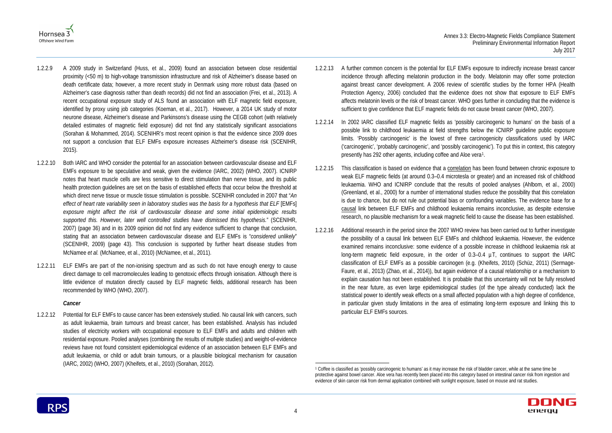



- 1.2.2.9 A 2009 study in Switzerland (Huss, et al., 2009) found an association between close residential proximity (<50 m) to high-voltage transmission infrastructure and risk of Alzheimer's disease based on death certificate data; however, a more recent study in Denmark using more robust data (based on Alzheimer's case diagnosis rather than death records) did not find an association (Frei, et al., 2013). A recent occupational exposure study of ALS found an association with ELF magnetic field exposure, identified by proxy using job categories (Koeman, et al., 2017). However, a 2014 UK study of motor neurone disease, Alzheimer's disease and Parkinsons's disease using the CEGB cohort (with relatively detailed estimates of magnetic field exposure) did not find any statistically significant associations (Sorahan & Mohammed, 2014). SCENIHR's most recent opinion is that the evidence since 2009 does not support a conclusion that ELF EMFs exposure increases Alzheimer's disease risk (SCENIHR, 2015).
- 1.2.2.10 Both IARC and WHO consider the potential for an association between cardiovascular disease and ELF EMFs exposure to be speculative and weak, given the evidence (IARC, 2002) (WHO, 2007). ICNIRP notes that heart muscle cells are less sensitive to direct stimulation than nerve tissue, and its public health protection guidelines are set on the basis of established effects that occur below the threshold at which direct nerve tissue or muscle tissue stimulation is possible. SCENIHR concluded in 2007 that "*An effect of heart rate variability seen in laboratory studies was the basis for a hypothesis that ELF* [EMFs] *exposure might affect the risk of cardiovascular disease and some initial epidemiologic results supported this. However, later well controlled studies have dismissed this hypothesis.*" (SCENIHR, 2007) (page 36) and in its 2009 opinion did not find any evidence sufficient to change that conclusion, stating that an association between cardiovascular disease and ELF EMFs is "*considered unlikely*" (SCENIHR, 2009) (page 43). This conclusion is supported by further heart disease studies from McNamee *et al.* (McNamee, et al., 2010) (McNamee, et al., 2011).
- 1.2.2.11 ELF EMFs are part of the non-ionising spectrum and as such do not have enough energy to cause direct damage to cell macromolecules leading to genotoxic effects through ionisation. Although there is little evidence of mutation directly caused by ELF magnetic fields, additional research has been recommended by WHO (WHO, 2007).

#### *Cancer*

1.2.2.12 Potential for ELF EMFs to cause cancer has been extensively studied. No causal link with cancers, such as adult leukaemia, brain tumours and breast cancer, has been established. Analysis has included studies of electricity workers with occupational exposure to ELF EMFs and adults and children with residential exposure. Pooled analyses (combining the results of multiple studies) and weight-of-evidence reviews have not found consistent epidemiological evidence of an association between ELF EMFs and adult leukaemia, or child or adult brain tumours, or a plausible biological mechanism for causation (IARC, 2002) (WHO, 2007) (Kheifets, et al., 2010) (Sorahan, 2012).

- 1.2.2.13 A further common concern is the potential for ELF EMFs exposure to indirectly increase breast cancer incidence through affecting melatonin production in the body. Melatonin may offer some protection against breast cancer development. A 2006 review of scientific studies by the former HPA (Health Protection Agency, 2006) concluded that the evidence does not show that exposure to ELF EMFs affects melatonin levels or the risk of breast cancer. WHO goes further in concluding that the evidence is sufficient to give confidence that ELF magnetic fields do not cause breast cancer (WHO, 2007).
- 1.2.2.14 In 2002 IARC classified ELF magnetic fields as 'possibly carcinogenic to humans' on the basis of a possible link to childhood leukaemia at field strengths below the ICNIRP guideline public exposure limits. 'Possibly carcinogenic' is the lowest of three carcinogenicity classifications used by IARC ('carcinogenic', 'probably carcinogenic', and 'possibly carcinogenic'). To put this in context, this category presently has 292 other agents, including coffee and Aloe vera[1](#page-8-0).
- 1.2.2.15 This classification is based on evidence that a correlation has been found between chronic exposure to weak ELF magnetic fields (at around 0.3–0.4 microtesla or greater) and an increased risk of childhood leukaemia. WHO and ICNIRP conclude that the results of pooled analyses (Ahlbom, et al., 2000) (Greenland, et al., 2000) for a number of international studies reduce the possibility that this correlation is due to chance, but do not rule out potential bias or confounding variables. The evidence base for a causal link between ELF EMFs and childhood leukaemia remains inconclusive, as despite extensive research, no plausible mechanism for a weak magnetic field to cause the disease has been established.
- 1.2.2.16 Additional research in the period since the 2007 WHO review has been carried out to further investigate the possibility of a causal link between ELF EMFs and childhood leukaemia. However, the evidence examined remains inconclusive: some evidence of a possible increase in childhood leukaemia risk at long-term magnetic field exposure, in the order of 0.3–0.4 µT, continues to support the IARC classification of ELF EMFs as a possible carcinogen (e.g. (Kheifets, 2010) (Schüz, 2011) (Sermage-Faure, et al., 2013) (Zhao, et al., 2014)), but again evidence of a causal relationship or a mechanism to explain causation has not been established. It is probable that this uncertainty will not be fully resolved in the near future, as even large epidemiological studies (of the type already conducted) lack the statistical power to identify weak effects on a small affected population with a high degree of confidence, in particular given study limitations in the area of estimating long-term exposure and linking this to particular ELF EMFs sources.

<span id="page-8-0"></span>

 <sup>1</sup> Coffee is classified as 'possibly carcinogenic to humans' as it may increase the risk of bladder cancer, while at the same time be protective against bowel cancer. Aloe vera has recently been placed into this category based on intestinal cancer risk from ingestion and evidence of skin cancer risk from dermal application combined with sunlight exposure, based on mouse and rat studies.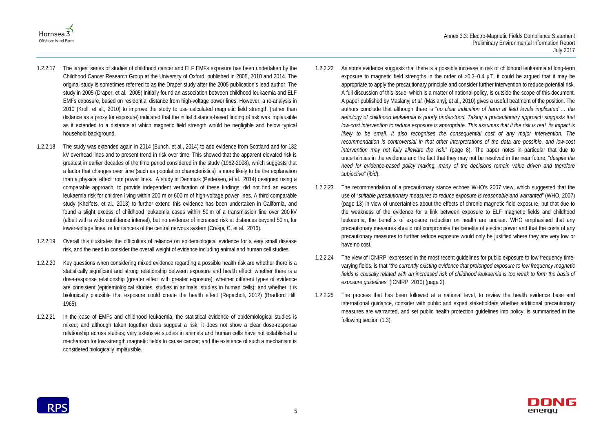



- 1.2.2.17 The largest series of studies of childhood cancer and ELF EMFs exposure has been undertaken by the Childhood Cancer Research Group at the University of Oxford, published in 2005, 2010 and 2014. The original study is sometimes referred to as the Draper study after the 2005 publication's lead author. The study in 2005 (Draper, et al., 2005) initially found an association between childhood leukaemia and ELF EMFs exposure, based on residential distance from high-voltage power lines. However, a re-analysis in 2010 (Kroll, et al., 2010) to improve the study to use calculated magnetic field strength (rather than distance as a proxy for exposure) indicated that the initial distance-based finding of risk was implausible as it extended to a distance at which magnetic field strength would be negligible and below typical household background.
- 1.2.2.18 The study was extended again in 2014 (Bunch, et al., 2014) to add evidence from Scotland and for 132 kV overhead lines and to present trend in risk over time. This showed that the apparent elevated risk is greatest in earlier decades of the time period considered in the study (1962-2008), which suggests that a factor that changes over time (such as population characteristics) is more likely to be the explanation than a physical effect from power lines. A study in Denmark (Pedersen, et al., 2014) designed using a comparable approach, to provide independent verification of these findings, did not find an excess leukaemia risk for children living within 200 m or 600 m of high-voltage power lines. A third comparable study (Kheifets, et al., 2013) to further extend this evidence has been undertaken in California, and found a slight excess of childhood leukaemia cases within 50 m of a transmission line over 200 kV (albeit with a wide confidence interval), but no evidence of increased risk at distances beyond 50 m, for lower-voltage lines, or for cancers of the central nervous system (Crespi, C, et al., 2016).
- 1.2.2.19 Overall this illustrates the difficulties of reliance on epidemiological evidence for a very small disease risk, and the need to consider the overall weight of evidence including animal and human cell studies.
- 1.2.2.20 Key questions when considering mixed evidence regarding a possible health risk are whether there is a statistically significant and strong relationship between exposure and health effect; whether there is a dose-response relationship (greater effect with greater exposure); whether different types of evidence are consistent (epidemiological studies, studies in animals, studies in human cells); and whether it is biologically plausible that exposure could create the health effect (Repacholi, 2012) (Bradford Hill, 1965).
- 1.2.2.21 In the case of EMFs and childhood leukaemia, the statistical evidence of epidemiological studies is mixed; and although taken together does suggest a risk, it does not show a clear dose-response relationship across studies; very extensive studies in animals and human cells have not established a mechanism for low-strength magnetic fields to cause cancer; and the existence of such a mechanism is considered biologically implausible.
- 1.2.2.22 As some evidence suggests that there is a possible increase in risk of childhood leukaemia at long-term exposure to magnetic field strengths in the order of >0.3–0.4 µT, it could be argued that it may be appropriate to apply the precautionary principle and consider further intervention to reduce potential risk. A full discussion of this issue, which is a matter of national policy, is outside the scope of this document. A paper published by Maslanyj *et al.* (Maslanyj, et al., 2010) gives a useful treatment of the position. The authors conclude that although there is "*no clear indication of harm at field levels implicated … the aetiology of childhood leukaemia is poorly understood. Taking a precautionary approach suggests that low-cost intervention to reduce exposure is appropriate. This assumes that if the risk is real, its impact is likely to be small. It also recognises the consequential cost of any major intervention. The recommendation is controversial in that other interpretations of the data are possible, and low-cost intervention may not fully alleviate the risk.*" (page 8). The paper notes in particular that due to uncertainties in the evidence and the fact that they may not be resolved in the near future, "*despite the need for evidence-based policy making, many of the decisions remain value driven and therefore subjective*" (*ibid*).
- 1.2.2.23 The recommendation of a precautionary stance echoes WHO's 2007 view, which suggested that the use of "*suitable precautionary measures to reduce exposure is reasonable and warranted*" (WHO, 2007) (page 13) in view of uncertainties about the effects of chronic magnetic field exposure, but that due to the weakness of the evidence for a link between exposure to ELF magnetic fields and childhood leukaemia, the benefits of exposure reduction on health are unclear. WHO emphasised that any precautionary measures should not compromise the benefits of electric power and that the costs of any precautionary measures to further reduce exposure would only be justified where they are very low or have no cost.
- 1.2.2.24 The view of ICNIRP, expressed in the most recent guidelines for public exposure to low frequency timevarying fields, is that "*the currently existing evidence that prolonged exposure to low frequency magnetic fields is causally related with an increased risk of childhood leukaemia is too weak to form the basis of exposure guidelines*" (ICNIRP, 2010) (page 2).
- 1.2.2.25 The process that has been followed at a national level, to review the health evidence base and international guidance, consider with public and expert stakeholders whether additional precautionary measures are warranted, and set public health protection guidelines into policy, is summarised in the following section [\(1.3\)](#page-10-0).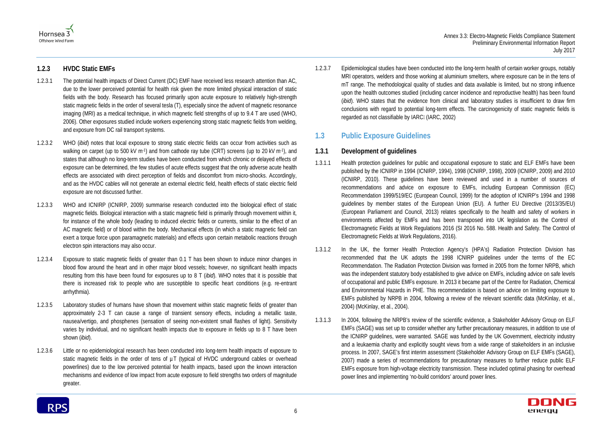



#### **1.2.3 HVDC Static EMFs**

1.2.3.7 Epidemiological studies have been conducted into the long-term health of certain worker groups, notably MRI operators, welders and those working at aluminium smelters, where exposure can be in the tens of mT range. The methodological quality of studies and data available is limited, but no strong influence upon the health outcomes studied (including cancer incidence and reproductive health) has been found (*ibid*). WHO states that the evidence from clinical and laboratory studies is insufficient to draw firm conclusions with regard to potential long-term effects. The carcinogenicity of static magnetic fields is regarded as not classifiable by IARC (IARC, 2002)

- 1.2.3.1 The potential health impacts of Direct Current (DC) EMF have received less research attention than AC, due to the lower perceived potential for health risk given the more limited physical interaction of static fields with the body. Research has focused primarily upon acute exposure to relatively high-strength static magnetic fields in the order of several tesla (T), especially since the advent of magnetic resonance imaging (MRI) as a medical technique, in which magnetic field strengths of up to 9.4 T are used (WHO, 2006). Other exposures studied include workers experiencing strong static magnetic fields from welding, and exposure from DC rail transport systems.
- 1.2.3.2 WHO (*ibid*) notes that local exposure to strong static electric fields can occur from activities such as walking on carpet (up to 500 kV m<sup>-1</sup>) and from cathode ray tube (CRT) screens (up to 20 kV m<sup>-1</sup>), and states that although no long-term studies have been conducted from which chronic or delayed effects of exposure can be determined, the few studies of acute effects suggest that the only adverse acute health effects are associated with direct perception of fields and discomfort from micro-shocks. Accordingly, and as the HVDC cables will not generate an external electric field, health effects of static electric field exposure are not discussed further.
- 1.2.3.3 WHO and ICNIRP (ICNIRP, 2009) summarise research conducted into the biological effect of static magnetic fields. Biological interaction with a static magnetic field is primarily through movement within it, for instance of the whole body (leading to induced electric fields or currents, similar to the effect of an AC magnetic field) or of blood within the body. Mechanical effects (in which a static magnetic field can exert a torque force upon paramagnetic materials) and effects upon certain metabolic reactions through electron spin interactions may also occur.
- 1.2.3.4 Exposure to static magnetic fields of greater than 0.1 T has been shown to induce minor changes in blood flow around the heart and in other major blood vessels; however, no significant health impacts resulting from this have been found for exposures up to 8 T (*ibid*). WHO notes that it is possible that there is increased risk to people who are susceptible to specific heart conditions (e.g. re-entrant arrhythmia).
- 1.2.3.5 Laboratory studies of humans have shown that movement within static magnetic fields of greater than approximately 2-3 T can cause a range of transient sensory effects, including a metallic taste, nausea/vertigo, and phosphenes (sensation of seeing non-existent small flashes of light). Sensitivity varies by individual, and no significant health impacts due to exposure in fields up to 8 T have been shown (*ibid*).
- 1.2.3.6 Little or no epidemiological research has been conducted into long-term health impacts of exposure to static magnetic fields in the order of tens of  $\mu$ T (typical of HVDC underground cables or overhead powerlines) due to the low perceived potential for health impacts, based upon the known interaction mechanisms and evidence of low impact from acute exposure to field strengths two orders of magnitude greater.

## <span id="page-10-0"></span>**1.3 Public Exposure Guidelines**

#### **1.3.1 Development of guidelines**

- 1.3.1.1 Health protection guidelines for public and occupational exposure to static and ELF EMFs have been published by the ICNIRP in 1994 (ICNIRP, 1994), 1998 (ICNIRP, 1998), 2009 (ICNIRP, 2009) and 2010 (ICNIRP, 2010). These guidelines have been reviewed and used in a number of sources of recommendations and advice on exposure to EMFs, including European Commission (EC) Recommendation 1999/519/EC (European Council, 1999) for the adoption of ICNIRP's 1994 and 1998 guidelines by member states of the European Union (EU). A further EU Directive (2013/35/EU) (European Parliament and Council, 2013) relates specifically to the health and safety of workers in environments affected by EMFs and has been transposed into UK legislation as the Control of Electromagnetic Fields at Work Regulations 2016 (SI 2016 No. 588. Health and Safety. The Control of Electromagnetic Fields at Work Regulations, 2016).
- 1.3.1.2 In the UK, the former Health Protection Agency's (HPA's) Radiation Protection Division has recommended that the UK adopts the 1998 ICNIRP guidelines under the terms of the EC Recommendation. The Radiation Protection Division was formed in 2005 from the former NRPB, which was the independent statutory body established to give advice on EMFs, including advice on safe levels of occupational and public EMFs exposure. In 2013 it became part of the Centre for Radiation, Chemical and Environmental Hazards in PHE. This recommendation is based on advice on limiting exposure to EMFs published by NRPB in 2004, following a review of the relevant scientific data (McKinlay, et al., 2004) (McKinlay, et al., 2004).
- 1.3.1.3 In 2004, following the NRPB's review of the scientific evidence, a Stakeholder Advisory Group on ELF EMFs (SAGE) was set up to consider whether any further precautionary measures, in addition to use of the ICNIRP guidelines, were warranted. SAGE was funded by the UK Government, electricity industry and a leukaemia charity and explicitly sought views from a wide range of stakeholders in an inclusive process. In 2007, SAGE's first interim assessment (Stakeholder Advisory Group on ELF EMFs (SAGE), 2007) made a series of recommendations for precautionary measures to further reduce public ELF EMFs exposure from high-voltage electricity transmission. These included optimal phasing for overhead power lines and implementing 'no-build corridors' around power lines.

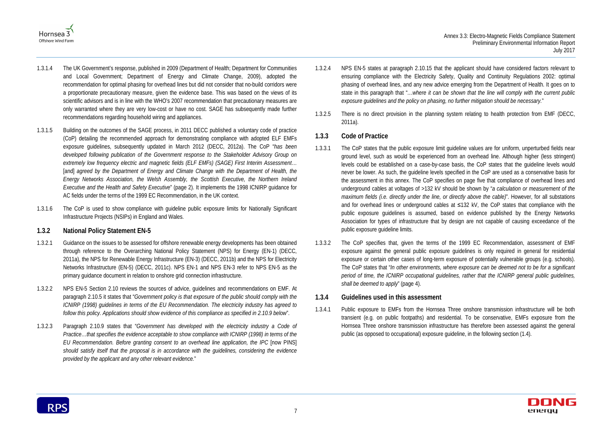



- 1.3.1.4 The UK Government's response, published in 2009 (Department of Health; Department for Communities and Local Government; Department of Energy and Climate Change, 2009), adopted the recommendation for optimal phasing for overhead lines but did not consider that no-build corridors were a proportionate precautionary measure, given the evidence base. This was based on the views of its scientific advisors and is in line with the WHO's 2007 recommendation that precautionary measures are only warranted where they are very low-cost or have no cost. SAGE has subsequently made further recommendations regarding household wiring and appliances.
- 1.3.1.5 Building on the outcomes of the SAGE process, in 2011 DECC published a voluntary code of practice (CoP) detailing the recommended approach for demonstrating compliance with adopted ELF EMFs exposure guidelines, subsequently updated in March 2012 (DECC, 2012a). The CoP "*has been developed following publication of the Government response to the Stakeholder Advisory Group on extremely low frequency electric and magnetic fields (ELF EMFs) (SAGE) First Interim Assessment*… [and] *agreed by the Department of Energy and Climate Change with the Department of Health, the Energy Networks Association, the Welsh Assembly, the Scottish Executive, the Northern Ireland Executive and the Health and Safety Executive*" (page 2). It implements the 1998 ICNIRP guidance for AC fields under the terms of the 1999 EC Recommendation, in the UK context.
- 1.3.1.6 The CoP is used to show compliance with guideline public exposure limits for Nationally Significant Infrastructure Projects (NSIPs) in England and Wales.

#### **1.3.2 National Policy Statement EN-5**

- 1.3.2.1 Guidance on the issues to be assessed for offshore renewable energy developments has been obtained through reference to the Overarching National Policy Statement (NPS) for Energy (EN-1) (DECC, 2011a), the NPS for Renewable Energy Infrastructure (EN-3) (DECC, 2011b) and the NPS for Electricity Networks Infrastructure (EN-5) (DECC, 2011c). NPS EN-1 and NPS EN-3 refer to NPS EN-5 as the primary guidance document in relation to onshore grid connection infrastructure.
- 1.3.2.2 NPS EN-5 Section 2.10 reviews the sources of advice, guidelines and recommendations on EMF. At paragraph 2.10.5 it states that "*Government policy is that exposure of the public should comply with the ICNIRP (1998) guidelines in terms of the EU Recommendation. The electricity industry has agreed to follow this policy. Applications should show evidence of this compliance as specified in 2.10.9 below*".
- 1.3.2.3 Paragraph 2.10.9 states that "*Government has developed with the electricity industry a Code of Practice…that specifies the evidence acceptable to show compliance with ICNIRP (1998) in terms of the EU Recommendation. Before granting consent to an overhead line application, the IPC* [now PINS] *should satisfy itself that the proposal is in accordance with the guidelines, considering the evidence provided by the applicant and any other relevant evidence.*"
- 1.3.2.4 NPS EN-5 states at paragraph 2.10.15 that the applicant should have considered factors relevant to ensuring compliance with the Electricity Safety, Quality and Continuity Regulations 2002: optimal phasing of overhead lines, and any new advice emerging from the Department of Health. It goes on to state in this paragraph that "*…where it can be shown that the line will comply with the current public exposure guidelines and the policy on phasing, no further mitigation should be necessary.*"
- 1.3.2.5 There is no direct provision in the planning system relating to health protection from EMF (DECC, 2011a).

#### **1.3.3 Code of Practice**

- 1.3.3.1 The CoP states that the public exposure limit guideline values are for uniform, unperturbed fields near ground level, such as would be experienced from an overhead line. Although higher (less stringent) levels could be established on a case-by-case basis, the CoP states that the guideline levels would never be lower. As such, the guideline levels specified in the CoP are used as a conservative basis for the assessment in this annex. The CoP specifies on page five that compliance of overhead lines and underground cables at voltages of >132 kV should be shown by "*a calculation or measurement of the maximum fields (i.e. directly under the line, or directly above the cable)*". However, for all substations and for overhead lines or underground cables at ≤132 kV, the CoP states that compliance with the public exposure guidelines is assumed, based on evidence published by the Energy Networks Association for types of infrastructure that by design are not capable of causing exceedance of the public exposure guideline limits.
- 1.3.3.2 The CoP specifies that, given the terms of the 1999 EC Recommendation, assessment of EMF exposure against the general public exposure guidelines is only required in general for residential exposure or certain other cases of long-term exposure of potentially vulnerable groups (e.g. schools). The CoP states that "*In other environments, where exposure can be deemed not to be for a significant period of time, the ICNIRP occupational guidelines, rather that the ICNIRP general public guidelines, shall be deemed to apply*" (page 4).

#### **1.3.4 Guidelines used in this assessment**

1.3.4.1 Public exposure to EMFs from the Hornsea Three onshore transmission infrastructure will be both transient (e.g. on public footpaths) and residential. To be conservative, EMFs exposure from the Hornsea Three onshore transmission infrastructure has therefore been assessed against the general public (as opposed to occupational) exposure guideline, in the following section [\(1.4\)](#page-12-0).



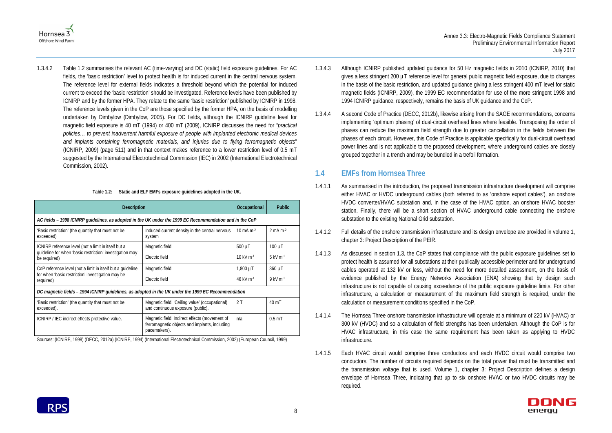



1.3.4.2 [Table 1.2](#page-12-1) summarises the relevant AC (time-varying) and DC (static) field exposure guidelines. For AC fields, the 'basic restriction' level to protect health is for induced current in the central nervous system. The reference level for external fields indicates a threshold beyond which the potential for induced current to exceed the 'basic restriction' should be investigated. Reference levels have been published by ICNIRP and by the former HPA. They relate to the same 'basic restriction' published by ICNIRP in 1998. The reference levels given in the CoP are those specified by the former HPA, on the basis of modelling undertaken by Dimbylow (Dimbylow, 2005). For DC fields, although the ICNIRP guideline level for magnetic field exposure is 40 mT (1994) or 400 mT (2009), ICNIRP discusses the need for "*practical policies… to prevent inadvertent harmful exposure of people with implanted electronic medical devices and implants containing ferromagnetic materials, and injuries due to flying ferromagnetic objects*" (ICNIRP, 2009) (page 511) and in that context makes reference to a lower restriction level of 0.5 mT suggested by the International Electrotechnical Commission (IEC) in 2002 (International Electrotechnical Commission, 2002).

**Table 1.2: Static and ELF EMFs exposure guidelines adopted in the UK.**

<span id="page-12-1"></span>

| <b>Description</b>                                                                                       |                                                                                                                |                        | <b>Public</b>                 |  |  |
|----------------------------------------------------------------------------------------------------------|----------------------------------------------------------------------------------------------------------------|------------------------|-------------------------------|--|--|
| AC fields - 1998 ICNIRP guidelines, as adopted in the UK under the 1999 EC Recommendation and in the CoP |                                                                                                                |                        |                               |  |  |
| 'Basic restriction' (the quantity that must not be<br>exceeded)                                          | Induced current density in the central nervous<br>system                                                       | 10 mA $m-2$            | $2 \text{ mA m}$ <sup>2</sup> |  |  |
| ICNIRP reference level (not a limit in itself but a                                                      | Magnetic field                                                                                                 | $500 \mu T$            | $100 \mu T$                   |  |  |
| guideline for when 'basic restriction' investigation may<br>be required)                                 | Electric field                                                                                                 | $10 \text{ kV m}^{-1}$ | $5$ kV m $-1$                 |  |  |
| CoP reference level (not a limit in itself but a quideline                                               | Magnetic field                                                                                                 | $1,800 \mu T$          | 360 µT                        |  |  |
| for when 'basic restriction' investigation may be<br>required)                                           | Electric field                                                                                                 | 46 kV $m-1$            | 9 kV m-1                      |  |  |
| DC magnetic fields - 1994 ICNIRP guidelines, as adopted in the UK under the 1999 EC Recommendation       |                                                                                                                |                        |                               |  |  |
| 'Basic restriction' (the quantity that must not be<br>exceeded).                                         | Magnetic field. 'Ceiling value' (occupational)<br>and continuous exposure (public).                            | 2T                     | $40 \text{ mT}$               |  |  |
| ICNIRP / IEC indirect effects protective value.                                                          | Magnetic field. Indirect effects (movement of<br>ferromagnetic objects and implants, including<br>pacemakers). | n/a                    | $0.5m$ T                      |  |  |

Sources: (ICNIRP, 1998) (DECC, 2012a) (ICNIRP, 1994) (International Electrotechnical Commission, 2002) (European Council, 1999)

- 1.3.4.3 Although ICNIRP published updated guidance for 50 Hz magnetic fields in 2010 (ICNIRP, 2010) that gives a less stringent 200 µT reference level for general public magnetic field exposure, due to changes in the basis of the basic restriction, and updated guidance giving a less stringent 400 mT level for static magnetic fields (ICNIRP, 2009), the 1999 EC recommendation for use of the more stringent 1998 and 1994 ICNIRP guidance, respectively, remains the basis of UK guidance and the CoP.
- 1.3.4.4 A second Code of Practice (DECC, 2012b), likewise arising from the SAGE recommendations, concerns implementing 'optimum phasing' of dual-circuit overhead lines where feasible. Transposing the order of phases can reduce the maximum field strength due to greater cancellation in the fields between the phases of each circuit. However, this Code of Practice is applicable specifically for dual-circuit overhead power lines and is not applicable to the proposed development, where underground cables are closely grouped together in a trench and may be bundled in a trefoil formation.

## <span id="page-12-0"></span>**1.4 EMFs from Hornsea Three**

- 1.4.1.1 As summarised in the introduction, the proposed transmission infrastructure development will comprise either HVAC or HVDC underground cables (both referred to as 'onshore export cables'), an onshore HVDC converter/HVAC substation and, in the case of the HVAC option, an onshore HVAC booster station. Finally, there will be a short section of HVAC underground cable connecting the onshore substation to the existing National Grid substation.
- 1.4.1.2 Full details of the onshore transmission infrastructure and its design envelope are provided in volume 1, chapter 3: Project Description of the PEIR.
- 1.4.1.3 As discussed in section [1.3,](#page-10-0) the CoP states that compliance with the public exposure guidelines set to protect health is assumed for all substations at their publically accessible perimeter and for underground cables operated at 132 kV or less, without the need for more detailed assessment, on the basis of evidence published by the Energy Networks Association (ENA) showing that by design such infrastructure is not capable of causing exceedance of the public exposure guideline limits. For other infrastructure, a calculation or measurement of the maximum field strength is required, under the calculation or measurement conditions specified in the CoP.
- 1.4.1.4 The Hornsea Three onshore transmission infrastructure will operate at a minimum of 220 kV (HVAC) or 300 kV (HVDC) and so a calculation of field strengths has been undertaken. Although the CoP is for HVAC infrastructure, in this case the same requirement has been taken as applying to HVDC infrastructure.
- 1.4.1.5 Each HVAC circuit would comprise three conductors and each HVDC circuit would comprise two conductors. The number of circuits required depends on the total power that must be transmitted and the transmission voltage that is used. Volume 1, chapter 3: Project Description defines a design envelope of Hornsea Three, indicating that up to six onshore HVAC or two HVDC circuits may be required.

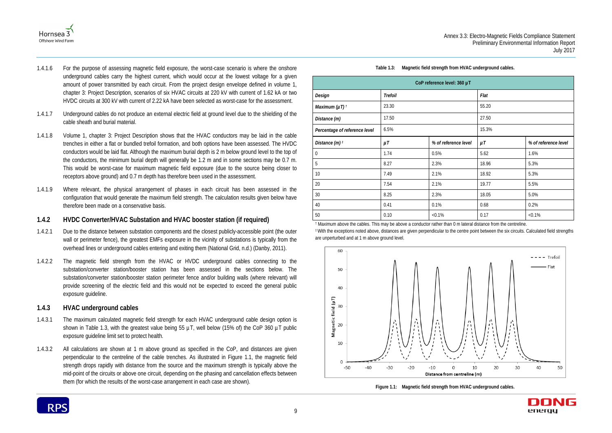

- 1.4.1.6 For the purpose of assessing magnetic field exposure, the worst-case scenario is where the onshore underground cables carry the highest current, which would occur at the lowest voltage for a given amount of power transmitted by each circuit. From the project design envelope defined in volume 1, chapter 3: Project Description, scenarios of six HVAC circuits at 220 kV with current of 1.62 kA or two HVDC circuits at 300 kV with current of 2.22 kA have been selected as worst-case for the assessment.
- 1.4.1.7 Underground cables do not produce an external electric field at ground level due to the shielding of the cable sheath and burial material.
- 1.4.1.8 Volume 1, chapter 3: Project Description shows that the HVAC conductors may be laid in the cable trenches in either a flat or bundled trefoil formation, and both options have been assessed. The HVDC conductors would be laid flat. Although the maximum burial depth is 2 m below ground level to the top of the conductors, the minimum burial depth will generally be 1.2 m and in some sections may be 0.7 m. This would be worst-case for maximum magnetic field exposure (due to the source being closer to receptors above ground) and 0.7 m depth has therefore been used in the assessment.
- 1.4.1.9 Where relevant, the physical arrangement of phases in each circuit has been assessed in the configuration that would generate the maximum field strength. The calculation results given below have therefore been made on a conservative basis.

#### **1.4.2 HVDC Converter/HVAC Substation and HVAC booster station (if required)**

- 1.4.2.1 Due to the distance between substation components and the closest publicly-accessible point (the outer wall or perimeter fence), the greatest EMFs exposure in the vicinity of substations is typically from the overhead lines or underground cables entering and exiting them (National Grid, n.d.) (Danby, 2011).
- 1.4.2.2 The magnetic field strength from the HVAC or HVDC underground cables connecting to the substation/converter station/booster station has been assessed in the sections below. The substation/converter station/booster station perimeter fence and/or building walls (where relevant) will provide screening of the electric field and this would not be expected to exceed the general public exposure guideline.

## **1.4.3 HVAC underground cables**

- 1.4.3.1 The maximum calculated magnetic field strength for each HVAC underground cable design option is shown in [Table 1.3,](#page-13-0) with the greatest value being 55  $\mu$ T, well below (15% of) the CoP 360  $\mu$ T public exposure guideline limit set to protect health.
- 1.4.3.2 All calculations are shown at 1 m above ground as specified in the CoP, and distances are given perpendicular to the centreline of the cable trenches. As illustrated in [Figure 1.1,](#page-13-1) the magnetic field strength drops rapidly with distance from the source and the maximum strength is typically above the mid-point of the circuits or above one circuit, depending on the phasing and cancellation effects between them (for which the results of the worst-case arrangement in each case are shown).



**Table 1.3: Magnetic field strength from HVAC underground cables.**

<span id="page-13-0"></span>

| CoP reference level: 360 µT   |                |                      |         |                      |  |
|-------------------------------|----------------|----------------------|---------|----------------------|--|
| Design                        | <b>Trefoil</b> |                      | Flat    |                      |  |
| Maximum ( $\mu$ T) $\hbar$    | 23.30          |                      | 55.20   |                      |  |
| Distance (m)                  | 17.50          |                      | 27.50   |                      |  |
| Percentage of reference level | 6.5%           |                      | 15.3%   |                      |  |
| Distance $(m)$ <sup>t</sup>   | $\mu$ T        | % of reference level | $\mu$ T | % of reference level |  |
| $\mathbf 0$                   | 1.74           | 0.5%                 | 5.62    | 1.6%                 |  |
| 5                             | 8.27           | 2.3%                 | 18.96   | 5.3%                 |  |
| 10                            | 7.49           | 2.1%                 | 18.92   | 5.3%                 |  |
| 20                            | 7.54           | 2.1%                 | 19.77   | 5.5%                 |  |
| $30\,$                        | 8.25           | 2.3%                 | 18.05   | 5.0%                 |  |
| 40                            | 0.41           | 0.1%                 | 0.68    | 0.2%                 |  |
| 50                            | 0.10           | $< 0.1\%$            | 0.17    | $< 0.1\%$            |  |

† Maximum above the cables. This may be above a conductor rather than 0 m lateral distance from the centreline. ‡ With the exceptions noted above, distances are given perpendicular to the centre point between the six circuits. Calculated field strengths are unperturbed and at 1 m above ground level.



<span id="page-13-1"></span>**Figure 1.1: Magnetic field strength from HVAC underground cables.**

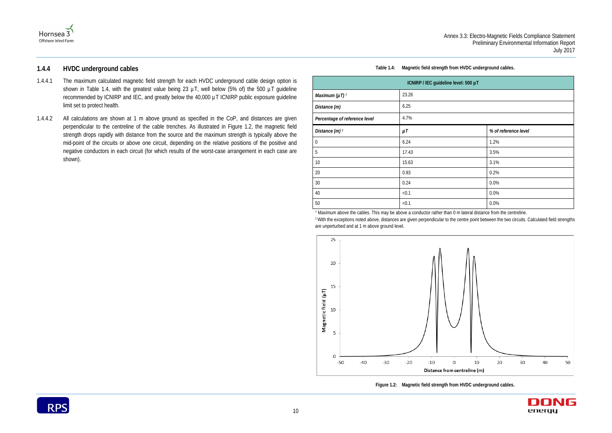

#### **1.4.4 HVDC underground cables**

- 1.4.4.1 The maximum calculated magnetic field strength for each HVDC underground cable design option is shown in [Table 1.4,](#page-14-0) with the greatest value being 23  $\mu$ T, well below (5% of) the 500  $\mu$ T guideline recommended by ICNIRP and IEC, and greatly below the 40,000 µT ICNIRP public exposure guideline limit set to protect health.
- 1.4.4.2 All calculations are shown at 1 m above ground as specified in the CoP, and distances are given perpendicular to the centreline of the cable trenches. As illustrated in [Figure 1.2,](#page-14-1) the magnetic field strength drops rapidly with distance from the source and the maximum strength is typically above the mid-point of the circuits or above one circuit, depending on the relative positions of the positive and negative conductors in each circuit (for which results of the worst-case arrangement in each case are shown).



#### **Table 1.4: Magnetic field strength from HVDC underground cables.**

<span id="page-14-0"></span>

| ICNIRP / IEC guideline level: 500 µT |         |                      |
|--------------------------------------|---------|----------------------|
| Maximum ( $\mu$ T) $t$               | 23.26   |                      |
| Distance (m)                         | 6.25    |                      |
| Percentage of reference level        | 4.7%    |                      |
| Distance $(m)$ <sup>t</sup>          | $\mu$ T | % of reference level |
| $\overline{0}$                       | 6.24    | 1.2%                 |
| $5\phantom{.0}$                      | 17.43   | 3.5%                 |
| 10                                   | 15.63   | 3.1%                 |
| 20                                   | 0.93    | 0.2%                 |
| 30                                   | 0.24    | 0.0%                 |
| 40                                   | < 0.1   | 0.0%                 |
| 50                                   | < 0.1   | 0.0%                 |

† Maximum above the cables. This may be above a conductor rather than 0 m lateral distance from the centreline. ‡ With the exceptions noted above, distances are given perpendicular to the centre point between the two circuits. Calculated field strengths are unperturbed and at 1 m above ground level.



<span id="page-14-1"></span>**Figure 1.2: Magnetic field strength from HVDC underground cables.**

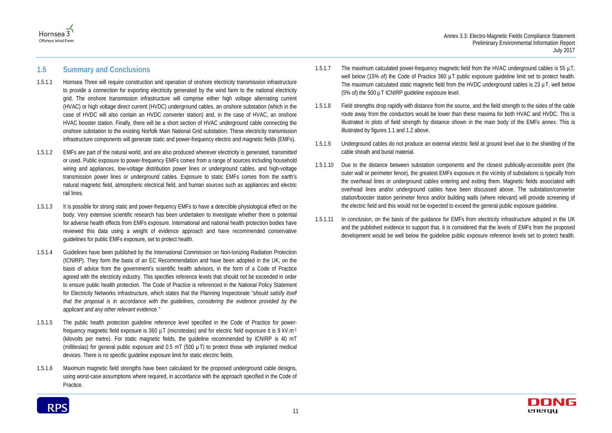



## <span id="page-15-0"></span>**1.5 Summary and Conclusions**

- 1.5.1.1 Hornsea Three will require construction and operation of onshore electricity transmission infrastructure to provide a connection for exporting electricity generated by the wind farm to the national electricity grid. The onshore transmission infrastructure will comprise either high voltage alternating current (HVAC) or high voltage direct current (HVDC) underground cables, an onshore substation (which in the case of HVDC will also contain an HVDC converter station) and, in the case of HVAC, an onshore HVAC booster station. Finally, there will be a short section of HVAC underground cable connecting the onshore substation to the existing Norfolk Main National Grid substation. These electricity transmission infrastructure components will generate static and power-frequency electric and magnetic fields (EMFs).
- 1.5.1.2 EMFs are part of the natural world, and are also produced wherever electricity is generated, transmitted or used. Public exposure to power-frequency EMFs comes from a range of sources including household wiring and appliances, low-voltage distribution power lines or underground cables, and high-voltage transmission power lines or underground cables. Exposure to static EMFs comes from the earth's natural magnetic field, atmospheric electrical field, and human sources such as appliances and electric rail lines.
- 1.5.1.3 It is possible for strong static and power-frequency EMFs to have a detectible physiological effect on the body. Very extensive scientific research has been undertaken to investigate whether there is potential for adverse health effects from EMFs exposure. International and national health protection bodies have reviewed this data using a weight of evidence approach and have recommended conservative guidelines for public EMFs exposure, set to protect health.
- 1.5.1.4 Guidelines have been published by the International Commission on Non-Ionizing Radiation Protection (ICNIRP). They form the basis of an EC Recommendation and have been adopted in the UK, on the basis of advice from the government's scientific health advisors, in the form of a Code of Practice agreed with the electricity industry. This specifies reference levels that should not be exceeded in order to ensure public health protection. The Code of Practice is referenced in the National Policy Statement for Electricity Networks Infrastructure, which states that the Planning Inspectorate "*should satisfy itself that the proposal is in accordance with the guidelines, considering the evidence provided by the applicant and any other relevant evidence."*
- 1.5.1.5 The public health protection guideline reference level specified in the Code of Practice for powerfrequency magnetic field exposure is 360  $\mu$ T (microteslas) and for electric field exposure it is 9 kV.m<sup>-1</sup> (kilovolts per metre). For static magnetic fields, the guideline recommended by ICNIRP is 40 mT (milliteslas) for general public exposure and  $0.5$  mT (500  $\mu$ T) to protect those with implanted medical devices. There is no specific guideline exposure limit for static electric fields.
- 1.5.1.6 Maximum magnetic field strengths have been calculated for the proposed underground cable designs, using worst-case assumptions where required, in accordance with the approach specified in the Code of Practice.



- 1.5.1.8 Field strengths drop rapidly with distance from the source, and the field strength to the sides of the cable route away from the conductors would be lower than these maxima for both HVAC and HVDC. This is illustrated in plots of field strength by distance shown in the main body of the EMFs annex. This is illustrated by figures 1.1 and 1.2 above.
- 1.5.1.9 Underground cables do not produce an external electric field at ground level due to the shielding of the cable sheath and burial material.
- 1.5.1.10 Due to the distance between substation components and the closest publically-accessible point (the outer wall or perimeter fence), the greatest EMFs exposure in the vicinity of substations is typically from the overhead lines or underground cables entering and exiting them. Magnetic fields associated with overhead lines and/or underground cables have been discussed above. The substation/converter station/booster station perimeter fence and/or building walls (where relevant) will provide screening of the electric field and this would not be expected to exceed the general public exposure guideline.
- 1.5.1.11 In conclusion, on the basis of the guidance for EMFs from electricity infrastructure adopted in the UK and the published evidence to support that, it is considered that the levels of EMFs from the proposed development would be well below the guideline public exposure reference levels set to protect health.

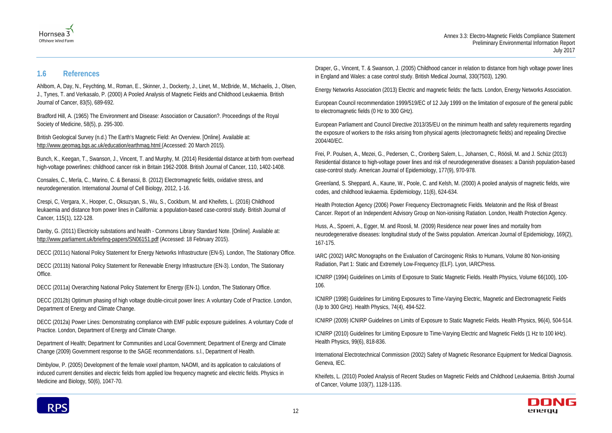



## <span id="page-16-0"></span>**1.6 References**

Ahlbom, A, Day, N., Feychting, M., Roman, E., Skinner, J., Dockerty, J., Linet, M., McBride, M., Michaelis, J., Olsen, J., Tynes, T. and Verkasalo, P. (2000) A Pooled Analysis of Magnetic Fields and Childhood Leukaemia. British Journal of Cancer, 83(5), 689-692.

Bradford Hill, A. (1965) The Environment and Disease: Association or Causation?. Proceedings of the Royal Society of Medicine, 58(5), p. 295-300.

British Geological Survey (n.d.) The Earth's Magnetic Field: An Overview. [Online]. Available at: http://www.geomag.bgs.ac.uk/education/earthmag.html (Accessed: 20 March 2015).

Bunch, K., Keegan, T., Swanson, J., Vincent, T. and Murphy, M. (2014) Residential distance at birth from overhead high-voltage powerlines: childhood cancer risk in Britain 1962-2008. British Journal of Cancer, 110, 1402-1408.

Consales, C., Merla, C., Marino, C. & Benassi, B. (2012) Electromagnetic fields, oxidative stress, and neurodegeneration. International Journal of Cell Biology, 2012, 1-16.

Crespi, C, Vergara, X., Hooper, C., Oksuzyan, S., Wu, S., Cockburn, M. and Kheifets, L. (2016) Childhood leukaemia and distance from power lines in California: a population-based case-control study. British Journal of Cancer*,* 115(1), 122-128.

Danby, G. (2011) Electricity substations and health - Commons Library Standard Note. [Online]. Available at: http://www.parliament.uk/briefing-papers/SN06151.pdf (Accessed: 18 February 2015).

DECC (2011c) National Policy Statement for Energy Networks Infrastructure (EN-5). London, The Stationary Office.

DECC (2011b) National Policy Statement for Renewable Energy Infrastructure (EN-3). London, The Stationary Office.

DECC (2011a) Overarching National Policy Statement for Energy (EN-1). London, The Stationary Office.

DECC (2012b) Optimum phasing of high voltage double-circuit power lines: A voluntary Code of Practice. London, Department of Energy and Climate Change.

DECC (2012a) Power Lines: Demonstrating compliance with EMF public exposure guidelines. A voluntary Code of Practice*.* London, Department of Energy and Climate Change.

Department of Health; Department for Communities and Local Government; Department of Energy and Climate Change (2009) Government response to the SAGE recommendations. s.l., Department of Health.

Dimbylow, P. (2005) Development of the female voxel phantom, NAOMI, and its application to calculations of induced current densities and electric fields from applied low frequency magnetic and electric fields. Physics in Medicine and Biology, 50(6), 1047-70.

Draper, G., Vincent, T. & Swanson, J. (2005) Childhood cancer in relation to distance from high voltage power lines in England and Wales: a case control study. British Medical Journal, 330(7503), 1290.

Energy Networks Association (2013) Electric and magnetic fields: the facts. London, Energy Networks Association.

European Council recommendation 1999/519/EC of 12 July 1999 on the limitation of exposure of the general public to electromagnetic fields (0 Hz to 300 GHz).

European Parliament and Council Directive 2013/35/EU on the minimum health and safety requirements regarding the exposure of workers to the risks arising from physical agents (electromagnetic fields) and repealing Directive 2004/40/EC.

Frei, P. Poulsen, A., Mezei, G., Pedersen, C., Cronberg Salem, L., Johansen, C., Röösli, M. and J. Schüz (2013) Residential distance to high-voltage power lines and risk of neurodegenerative diseases: a Danish population-based case-control study. American Journal of Epidemiology, 177(9), 970-978.

Greenland, S. Sheppard, A., Kaune, W., Poole, C. and Kelsh, M. (2000) A pooled analysis of magnetic fields, wire codes, and childhood leukaemia. Epidemiology, 11(6), 624-634.

Health Protection Agency (2006) Power Frequency Electromagnetic Fields. Melatonin and the Risk of Breast Cancer. Report of an Independent Advisory Group on Non-ionising Ratiation. London, Health Protection Agency.

Huss, A., Spoerri, A., Egger, M. and Roosli, M. (2009) Residence near power lines and mortality from neurodegenerative diseases: longitudinal study of the Swiss population. American Journal of Epidemiology*,* 169(2), 167-175.

IARC (2002) IARC Monographs on the Evaluation of Carcinogenic Risks to Humans, Volume 80 Non-ionising Radiation, Part 1: Static and Extremely Low-Frequency (ELF). Lyon, IARCPress.

ICNIRP (1994) Guidelines on Limits of Exposure to Static Magnetic Fields. Health Physics, Volume 66(100), 100- 106.

ICNIRP (1998) Guidelines for Limiting Exposures to Time-Varying Electric, Magnetic and Electromagnetic Fields (Up to 300 GHz). Health Physics, 74(4), 494-522.

ICNIRP (2009) ICNIRP Guidelines on Limits of Exposure to Static Magnetic Fields. Health Physics, 96(4), 504-514.

ICNIRP (2010) Guidelines for Limiting Exposure to Time-Varying Electric and Magnetic Fields (1 Hz to 100 kHz). Health Physics, 99(6), 818-836.

International Electrotechnical Commission (2002) Safety of Magnetic Resonance Equipment for Medical Diagnosis. Geneva, IEC.

Kheifets, L. (2010) Pooled Analysis of Recent Studies on Magnetic Fields and Childhood Leukaemia. British Journal of Cancer, Volume 103(7), 1128-1135.